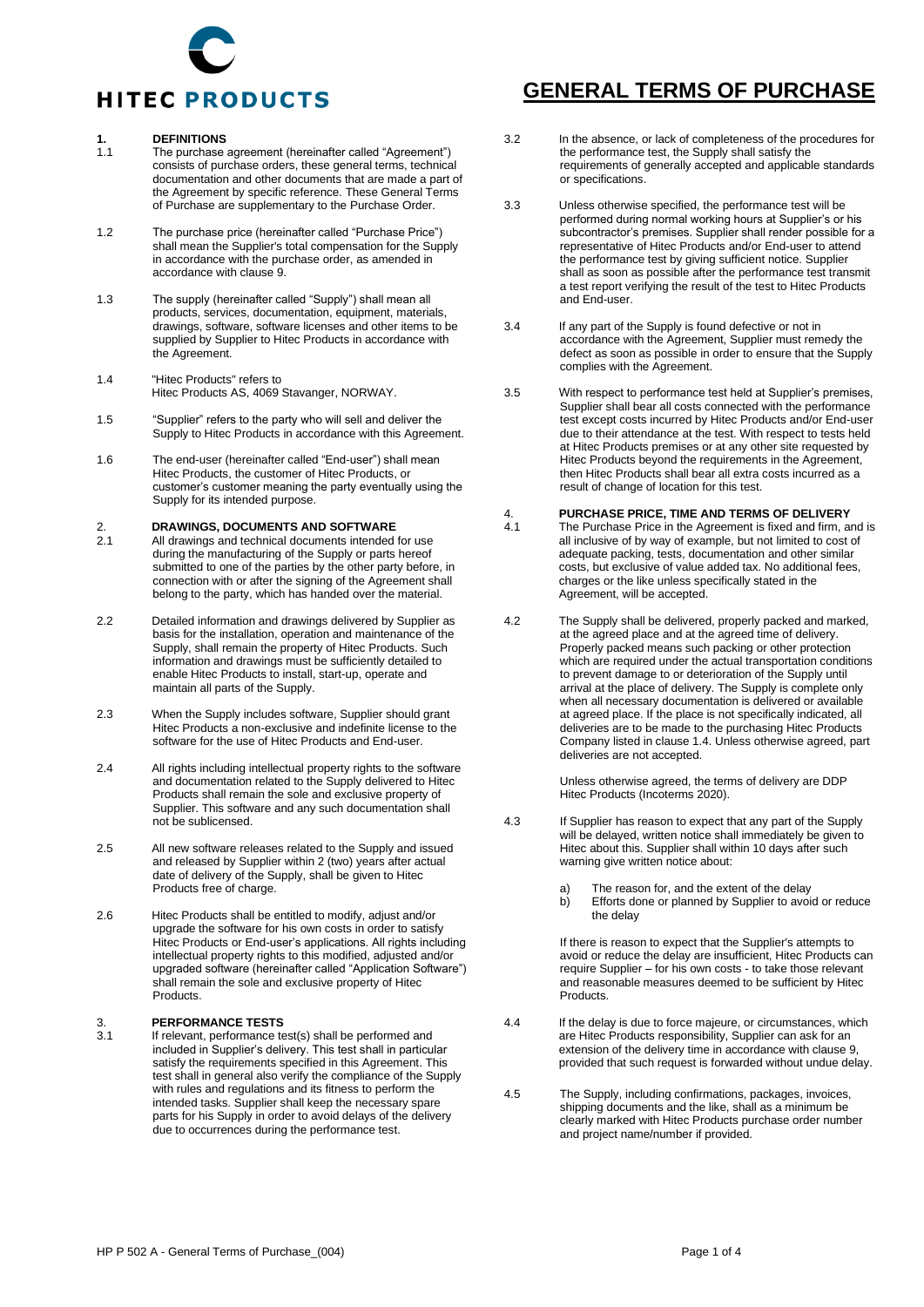

#### **1. DEFINITIONS**

- The purchase agreement (hereinafter called "Agreement") consists of purchase orders, these general terms, technical documentation and other documents that are made a part of the Agreement by specific reference. These General Terms of Purchase are supplementary to the Purchase Order.
- 1.2 The purchase price (hereinafter called "Purchase Price") shall mean the Supplier's total compensation for the Supply in accordance with the purchase order, as amended in accordance with clause 9.
- 1.3 The supply (hereinafter called "Supply") shall mean all products, services, documentation, equipment, materials, drawings, software, software licenses and other items to be supplied by Supplier to Hitec Products in accordance with the Agreement.
- 1.4 "Hitec Products" refers to Hitec Products AS, 4069 Stavanger, NORWAY.
- 1.5 "Supplier" refers to the party who will sell and deliver the Supply to Hitec Products in accordance with this Agreement.
- 1.6 The end-user (hereinafter called "End-user") shall mean Hitec Products, the customer of Hitec Products, or customer's customer meaning the party eventually using the Supply for its intended purpose.

#### 2. **DRAWINGS, DOCUMENTS AND SOFTWARE**<br>2.1 All drawings and technical documents intended

- All drawings and technical documents intended for use during the manufacturing of the Supply or parts hereof submitted to one of the parties by the other party before, in connection with or after the signing of the Agreement shall belong to the party, which has handed over the material.
- 2.2 Detailed information and drawings delivered by Supplier as basis for the installation, operation and maintenance of the Supply, shall remain the property of Hitec Products. Such information and drawings must be sufficiently detailed to enable Hitec Products to install, start-up, operate and maintain all parts of the Supply.
- 2.3 When the Supply includes software, Supplier should grant Hitec Products a non-exclusive and indefinite license to the software for the use of Hitec Products and End-user.
- 2.4 All rights including intellectual property rights to the software and documentation related to the Supply delivered to Hitec Products shall remain the sole and exclusive property of Supplier. This software and any such documentation shall not be sublicensed.
- 2.5 All new software releases related to the Supply and issued and released by Supplier within 2 (two) years after actual date of delivery of the Supply, shall be given to Hitec Products free of charge.
- 2.6 Hitec Products shall be entitled to modify, adjust and/or upgrade the software for his own costs in order to satisfy Hitec Products or End-user's applications. All rights including intellectual property rights to this modified, adjusted and/or upgraded software (hereinafter called "Application Software") shall remain the sole and exclusive property of Hitec Products.

#### 3. **PERFORMANCE TESTS**

If relevant, performance test(s) shall be performed and included in Supplier's delivery. This test shall in particular satisfy the requirements specified in this Agreement. This test shall in general also verify the compliance of the Supply with rules and regulations and its fitness to perform the intended tasks. Supplier shall keep the necessary spare parts for his Supply in order to avoid delays of the delivery due to occurrences during the performance test.

#### **GENERAL TERMS OF PURCHASE**

- 3.2 In the absence, or lack of completeness of the procedures for the performance test, the Supply shall satisfy the requirements of generally accepted and applicable standards or specifications.
- 3.3 Unless otherwise specified, the performance test will be performed during normal working hours at Supplier's or his subcontractor's premises. Supplier shall render possible for a representative of Hitec Products and/or End-user to attend the performance test by giving sufficient notice. Supplier shall as soon as possible after the performance test transmit a test report verifying the result of the test to Hitec Products and End-user.
- 3.4 If any part of the Supply is found defective or not in accordance with the Agreement, Supplier must remedy the defect as soon as possible in order to ensure that the Supply complies with the Agreement.
- 3.5 With respect to performance test held at Supplier's premises, Supplier shall bear all costs connected with the performance test except costs incurred by Hitec Products and/or End-user due to their attendance at the test. With respect to tests held at Hitec Products premises or at any other site requested by Hitec Products beyond the requirements in the Agreement, then Hitec Products shall bear all extra costs incurred as a result of change of location for this test.

#### 4. **PURCHASE PRICE, TIME AND TERMS OF DELIVERY**

- The Purchase Price in the Agreement is fixed and firm, and is all inclusive of by way of example, but not limited to cost of adequate packing, tests, documentation and other similar costs, but exclusive of value added tax. No additional fees, charges or the like unless specifically stated in the Agreement, will be accepted.
- 4.2 The Supply shall be delivered, properly packed and marked, at the agreed place and at the agreed time of delivery. Properly packed means such packing or other protection which are required under the actual transportation conditions to prevent damage to or deterioration of the Supply until arrival at the place of delivery. The Supply is complete only when all necessary documentation is delivered or available at agreed place. If the place is not specifically indicated, all deliveries are to be made to the purchasing Hitec Products Company listed in clause 1.4. Unless otherwise agreed, part deliveries are not accepted.

Unless otherwise agreed, the terms of delivery are DDP Hitec Products (Incoterms 2020).

- 4.3 If Supplier has reason to expect that any part of the Supply will be delayed, written notice shall immediately be given to Hitec about this. Supplier shall within 10 days after such warning give written notice about:
	- a) The reason for, and the extent of the delay<br>b) Efforts done or planned by Supplier to avoi
	- Efforts done or planned by Supplier to avoid or reduce the delay

If there is reason to expect that the Supplier's attempts to avoid or reduce the delay are insufficient, Hitec Products can require Supplier – for his own costs - to take those relevant and reasonable measures deemed to be sufficient by Hitec Products.

- 4.4 If the delay is due to force majeure, or circumstances, which are Hitec Products responsibility, Supplier can ask for an extension of the delivery time in accordance with clause 9, provided that such request is forwarded without undue delay.
- 4.5 The Supply, including confirmations, packages, invoices, shipping documents and the like, shall as a minimum be clearly marked with Hitec Products purchase order number and project name/number if provided.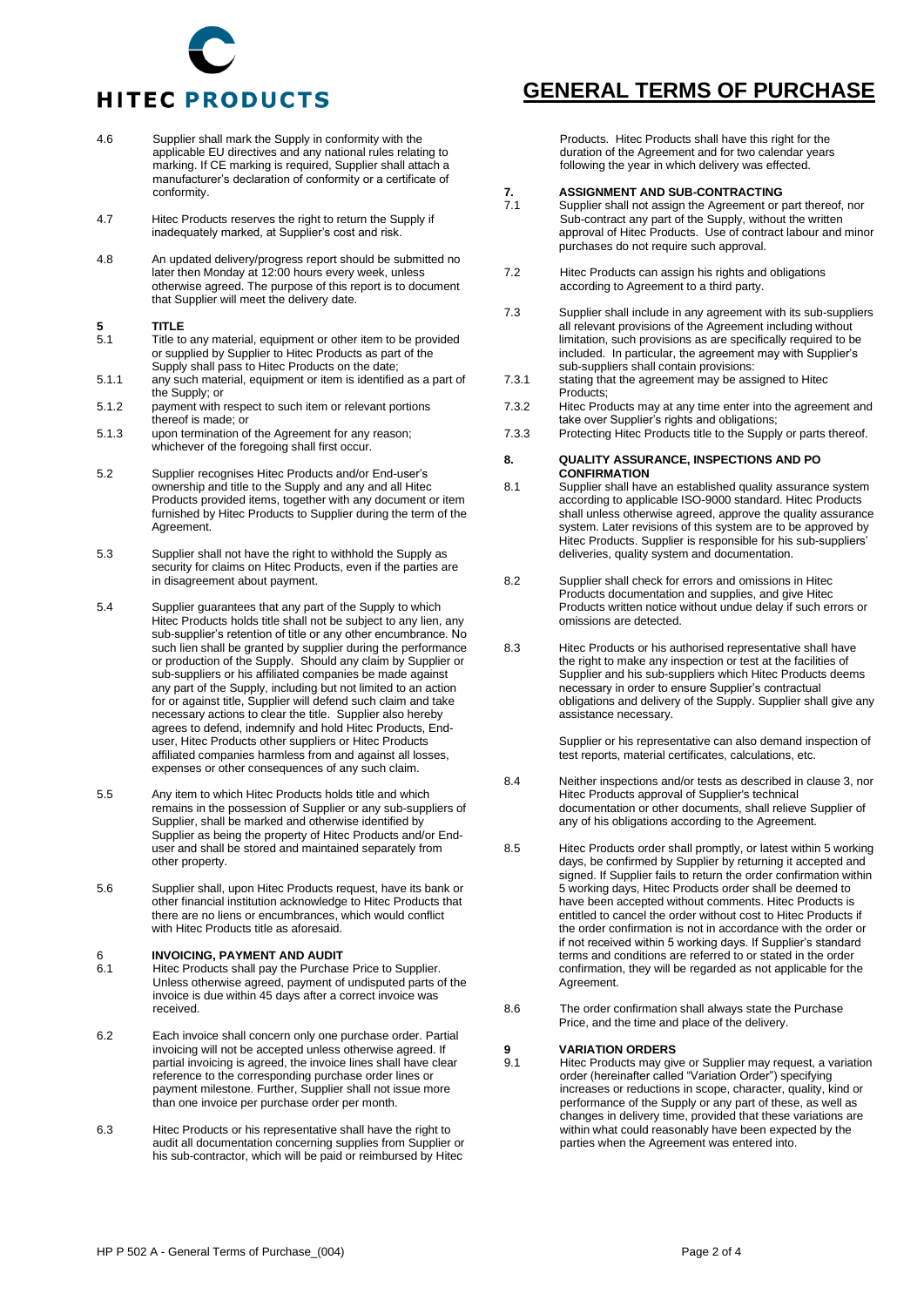## **HITEC PRODUCTS**

- 4.6 Supplier shall mark the Supply in conformity with the applicable EU directives and any national rules relating to marking. If CE marking is required, Supplier shall attach a manufacturer's declaration of conformity or a certificate of conformity.
- 4.7 Hitec Products reserves the right to return the Supply if inadequately marked, at Supplier's cost and risk.
- 4.8 An updated delivery/progress report should be submitted no later then Monday at 12:00 hours every week, unless otherwise agreed. The purpose of this report is to document that Supplier will meet the delivery date.

#### **5 TITLE**<br>**5.1 Title** to

- Title to any material, equipment or other item to be provided or supplied by Supplier to Hitec Products as part of the Supply shall pass to Hitec Products on the date;
- 5.1.1 any such material, equipment or item is identified as a part of the Supply; or
- 5.1.2 payment with respect to such item or relevant portions thereof is made; or
- 5.1.3 upon termination of the Agreement for any reason; whichever of the foregoing shall first occur.
- 5.2 Supplier recognises Hitec Products and/or End-user's ownership and title to the Supply and any and all Hitec Products provided items, together with any document or item furnished by Hitec Products to Supplier during the term of the Agreement.
- 5.3 Supplier shall not have the right to withhold the Supply as security for claims on Hitec Products, even if the parties are in disagreement about payment.
- 5.4 Supplier guarantees that any part of the Supply to which Hitec Products holds title shall not be subject to any lien, any sub-supplier's retention of title or any other encumbrance. No such lien shall be granted by supplier during the performance or production of the Supply. Should any claim by Supplier or sub-suppliers or his affiliated companies be made against any part of the Supply, including but not limited to an action for or against title, Supplier will defend such claim and take necessary actions to clear the title. Supplier also hereby agrees to defend, indemnify and hold Hitec Products, Enduser, Hitec Products other suppliers or Hitec Products affiliated companies harmless from and against all losses, expenses or other consequences of any such claim.
- 5.5 Any item to which Hitec Products holds title and which remains in the possession of Supplier or any sub-suppliers of Supplier, shall be marked and otherwise identified by Supplier as being the property of Hitec Products and/or Enduser and shall be stored and maintained separately from other property.
- 5.6 Supplier shall, upon Hitec Products request, have its bank or other financial institution acknowledge to Hitec Products that there are no liens or encumbrances, which would conflict with Hitec Products title as aforesaid.

## 6 **INVOICING, PAYMENT AND AUDIT**

- Hitec Products shall pay the Purchase Price to Supplier. Unless otherwise agreed, payment of undisputed parts of the invoice is due within 45 days after a correct invoice was received.
- 6.2 Each invoice shall concern only one purchase order. Partial invoicing will not be accepted unless otherwise agreed. If partial invoicing is agreed, the invoice lines shall have clear reference to the corresponding purchase order lines or payment milestone. Further, Supplier shall not issue more than one invoice per purchase order per month.
- 6.3 Hitec Products or his representative shall have the right to audit all documentation concerning supplies from Supplier or his sub-contractor, which will be paid or reimbursed by Hitec

## **GENERAL TERMS OF PURCHASE**

Products. Hitec Products shall have this right for the duration of the Agreement and for two calendar years following the year in which delivery was effected.

#### **7. ASSIGNMENT AND SUB-CONTRACTING**

- Supplier shall not assign the Agreement or part thereof, nor Sub-contract any part of the Supply, without the written approval of Hitec Products. Use of contract labour and minor purchases do not require such approval.
- 7.2 Hitec Products can assign his rights and obligations according to Agreement to a third party.
- 7.3 Supplier shall include in any agreement with its sub-suppliers all relevant provisions of the Agreement including without limitation, such provisions as are specifically required to be included. In particular, the agreement may with Supplier's sub-suppliers shall contain provisions:
- 7.3.1 stating that the agreement may be assigned to Hitec Products;
- 7.3.2 Hitec Products may at any time enter into the agreement and take over Supplier's rights and obligations;
- 7.3.3 Protecting Hitec Products title to the Supply or parts thereof.

#### **8. QUALITY ASSURANCE, INSPECTIONS AND PO CONFIRMATION**

- 8.1 Supplier shall have an established quality assurance system according to applicable ISO-9000 standard. Hitec Products shall unless otherwise agreed, approve the quality assurance system. Later revisions of this system are to be approved by Hitec Products. Supplier is responsible for his sub-suppliers' deliveries, quality system and documentation.
- 8.2 Supplier shall check for errors and omissions in Hitec Products documentation and supplies, and give Hitec Products written notice without undue delay if such errors or omissions are detected.
- 8.3 Hitec Products or his authorised representative shall have the right to make any inspection or test at the facilities of Supplier and his sub-suppliers which Hitec Products deems necessary in order to ensure Supplier's contractual obligations and delivery of the Supply. Supplier shall give any assistance necessary.

Supplier or his representative can also demand inspection of test reports, material certificates, calculations, etc.

- 8.4 Neither inspections and/or tests as described in clause 3, nor Hitec Products approval of Supplier's technical documentation or other documents, shall relieve Supplier of any of his obligations according to the Agreement.
- 8.5 Hitec Products order shall promptly, or latest within 5 working days, be confirmed by Supplier by returning it accepted and signed. If Supplier fails to return the order confirmation within 5 working days, Hitec Products order shall be deemed to have been accepted without comments. Hitec Products is entitled to cancel the order without cost to Hitec Products if the order confirmation is not in accordance with the order or if not received within 5 working days. If Supplier's standard terms and conditions are referred to or stated in the order confirmation, they will be regarded as not applicable for the Agreement.
- 8.6 The order confirmation shall always state the Purchase Price, and the time and place of the delivery.

#### **9 VARIATION ORDERS**<br>**9.1 Hitec Products may giv**

Hitec Products may give or Supplier may request, a variation order (hereinafter called "Variation Order") specifying increases or reductions in scope, character, quality, kind or performance of the Supply or any part of these, as well as changes in delivery time, provided that these variations are within what could reasonably have been expected by the parties when the Agreement was entered into.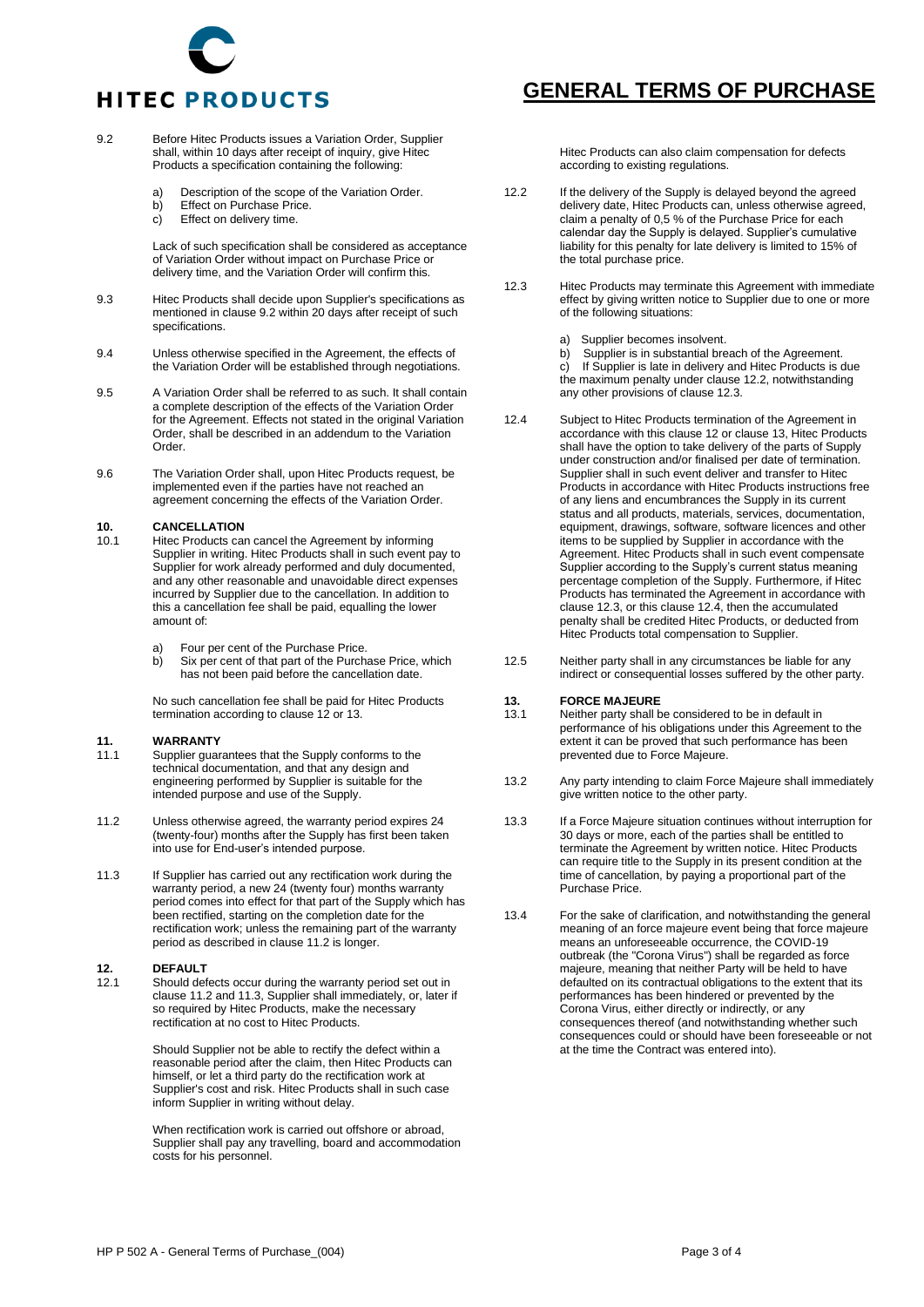# **HITEC PRODUCTS**

- 9.2 Before Hitec Products issues a Variation Order, Supplier shall, within 10 days after receipt of inquiry, give Hitec Products a specification containing the following:
	- a) Description of the scope of the Variation Order.<br>b) Effect on Purchase Price.
	- b) Effect on Purchase Price.<br>c) Effect on delivery time.
	- Effect on delivery time.

Lack of such specification shall be considered as acceptance of Variation Order without impact on Purchase Price or delivery time, and the Variation Order will confirm this.

- 9.3 Hitec Products shall decide upon Supplier's specifications as mentioned in clause 9.2 within 20 days after receipt of such specifications.
- 9.4 Unless otherwise specified in the Agreement, the effects of the Variation Order will be established through negotiations.
- 9.5 A Variation Order shall be referred to as such. It shall contain a complete description of the effects of the Variation Order for the Agreement. Effects not stated in the original Variation Order, shall be described in an addendum to the Variation Order.
- 9.6 The Variation Order shall, upon Hitec Products request, be implemented even if the parties have not reached an agreement concerning the effects of the Variation Order.

#### **10. CANCELLATION**

- Hitec Products can cancel the Agreement by informing Supplier in writing. Hitec Products shall in such event pay to Supplier for work already performed and duly documented, and any other reasonable and unavoidable direct expenses incurred by Supplier due to the cancellation. In addition to this a cancellation fee shall be paid, equalling the lower amount of:
	- a) Four per cent of the Purchase Price.
	- b) Six per cent of that part of the Purchase Price, which has not been paid before the cancellation date.

No such cancellation fee shall be paid for Hitec Products termination according to clause 12 or 13.

#### **11. WARRANTY**

- Supplier guarantees that the Supply conforms to the technical documentation, and that any design and engineering performed by Supplier is suitable for the intended purpose and use of the Supply.
- 11.2 Unless otherwise agreed, the warranty period expires 24 (twenty-four) months after the Supply has first been taken into use for End-user's intended purpose.
- 11.3 If Supplier has carried out any rectification work during the warranty period, a new 24 (twenty four) months warranty period comes into effect for that part of the Supply which has been rectified, starting on the completion date for the rectification work; unless the remaining part of the warranty period as described in clause 11.2 is longer.

#### **12. DEFAULT**

12.1 Should defects occur during the warranty period set out in clause 11.2 and 11.3, Supplier shall immediately, or, later if so required by Hitec Products, make the necessary rectification at no cost to Hitec Products.

> Should Supplier not be able to rectify the defect within a reasonable period after the claim, then Hitec Products can himself, or let a third party do the rectification work at Supplier's cost and risk. Hitec Products shall in such case inform Supplier in writing without delay.

When rectification work is carried out offshore or abroad, Supplier shall pay any travelling, board and accommodation costs for his personnel.

#### **GENERAL TERMS OF PURCHASE**

Hitec Products can also claim compensation for defects according to existing regulations.

- 12.2 If the delivery of the Supply is delayed beyond the agreed delivery date, Hitec Products can, unless otherwise agreed, claim a penalty of 0,5 % of the Purchase Price for each calendar day the Supply is delayed. Supplier's cumulative liability for this penalty for late delivery is limited to 15% of the total purchase price.
- 12.3 Hitec Products may terminate this Agreement with immediate effect by giving written notice to Supplier due to one or more of the following situations:
	- a) Supplier becomes insolvent.<br>b) Supplier is in substantial bre

b) Supplier is in substantial breach of the Agreement.<br>c) If Supplier is late in delivery and Hitec Products is o If Supplier is late in delivery and Hitec Products is due the maximum penalty under clause 12.2, notwithstanding any other provisions of clause 12.3.

- 12.4 Subject to Hitec Products termination of the Agreement in accordance with this clause 12 or clause 13, Hitec Products shall have the option to take delivery of the parts of Supply under construction and/or finalised per date of termination. Supplier shall in such event deliver and transfer to Hitec Products in accordance with Hitec Products instructions free of any liens and encumbrances the Supply in its current status and all products, materials, services, documentation, equipment, drawings, software, software licences and other items to be supplied by Supplier in accordance with the Agreement. Hitec Products shall in such event compensate Supplier according to the Supply's current status meaning percentage completion of the Supply. Furthermore, if Hitec Products has terminated the Agreement in accordance with clause 12.3, or this clause 12.4, then the accumulated penalty shall be credited Hitec Products, or deducted from Hitec Products total compensation to Supplier.
- 12.5 Neither party shall in any circumstances be liable for any indirect or consequential losses suffered by the other party.

## **13. FORCE MAJEURE**

- Neither party shall be considered to be in default in performance of his obligations under this Agreement to the extent it can be proved that such performance has been prevented due to Force Majeure.
- 13.2 Any party intending to claim Force Majeure shall immediately give written notice to the other party.
- 13.3 If a Force Majeure situation continues without interruption for 30 days or more, each of the parties shall be entitled to terminate the Agreement by written notice. Hitec Products can require title to the Supply in its present condition at the time of cancellation, by paying a proportional part of the Purchase Price.
- 13.4 For the sake of clarification, and notwithstanding the general meaning of an force majeure event being that force majeure means an unforeseeable occurrence, the COVID-19 outbreak (the "Corona Virus") shall be regarded as force majeure, meaning that neither Party will be held to have defaulted on its contractual obligations to the extent that its performances has been hindered or prevented by the Corona Virus, either directly or indirectly, or any consequences thereof (and notwithstanding whether such consequences could or should have been foreseeable or not at the time the Contract was entered into).